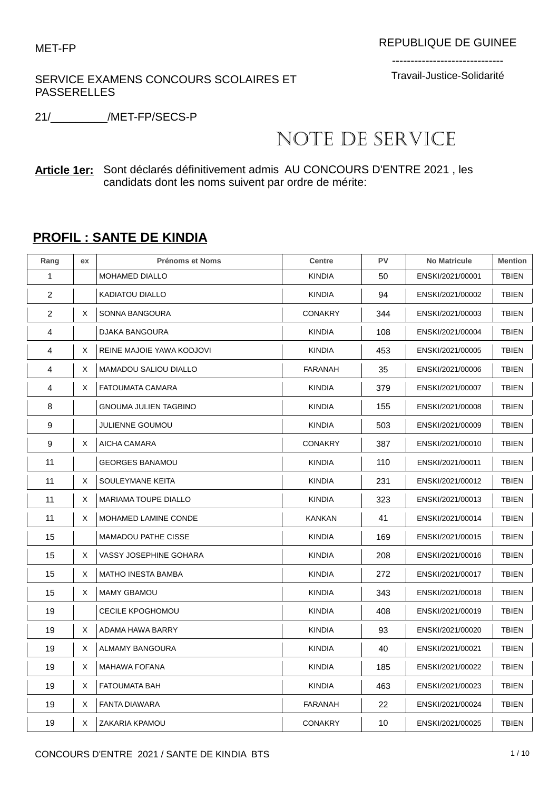SERVICE EXAMENS CONCOURS SCOLAIRES ET PASSERELLES

------------------------------ Travail-Justice-Solidarité

21/\_\_\_\_\_\_\_\_\_/MET-FP/SECS-P

## NOTE DE SERVICE

**Article 1er:** Sont déclarés définitivement admis AU CONCOURS D'ENTRE 2021 , les candidats dont les noms suivent par ordre de mérite:

## **PROFIL : SANTE DE KINDIA**

| Rang           | ex | <b>Prénoms et Noms</b>       | <b>Centre</b>  | PV  | <b>No Matricule</b> | <b>Mention</b> |
|----------------|----|------------------------------|----------------|-----|---------------------|----------------|
| 1              |    | <b>MOHAMED DIALLO</b>        | <b>KINDIA</b>  | 50  | ENSKI/2021/00001    | <b>TBIEN</b>   |
| $\overline{2}$ |    | <b>KADIATOU DIALLO</b>       | <b>KINDIA</b>  | 94  | ENSKI/2021/00002    | <b>TBIEN</b>   |
| $\overline{c}$ | X  | SONNA BANGOURA               | <b>CONAKRY</b> | 344 | ENSKI/2021/00003    | <b>TBIEN</b>   |
| 4              |    | DJAKA BANGOURA               | <b>KINDIA</b>  | 108 | ENSKI/2021/00004    | <b>TBIEN</b>   |
| 4              | X  | REINE MAJOIE YAWA KODJOVI    | <b>KINDIA</b>  | 453 | ENSKI/2021/00005    | TBIEN          |
| 4              | Χ  | <b>MAMADOU SALIOU DIALLO</b> | FARANAH        | 35  | ENSKI/2021/00006    | <b>TBIEN</b>   |
| 4              | X  | FATOUMATA CAMARA             | <b>KINDIA</b>  | 379 | ENSKI/2021/00007    | TBIEN          |
| 8              |    | <b>GNOUMA JULIEN TAGBINO</b> | <b>KINDIA</b>  | 155 | ENSKI/2021/00008    | <b>TBIEN</b>   |
| 9              |    | JULIENNE GOUMOU              | <b>KINDIA</b>  | 503 | ENSKI/2021/00009    | <b>TBIEN</b>   |
| 9              | X  | AICHA CAMARA                 | <b>CONAKRY</b> | 387 | ENSKI/2021/00010    | <b>TBIEN</b>   |
| 11             |    | <b>GEORGES BANAMOU</b>       | <b>KINDIA</b>  | 110 | ENSKI/2021/00011    | <b>TBIEN</b>   |
| 11             | X  | SOULEYMANE KEITA             | <b>KINDIA</b>  | 231 | ENSKI/2021/00012    | <b>TBIEN</b>   |
| 11             | Χ  | <b>MARIAMA TOUPE DIALLO</b>  | <b>KINDIA</b>  | 323 | ENSKI/2021/00013    | <b>TBIEN</b>   |
| 11             | Χ  | MOHAMED LAMINE CONDE         | KANKAN         | 41  | ENSKI/2021/00014    | <b>TBIEN</b>   |
| 15             |    | <b>MAMADOU PATHE CISSE</b>   | <b>KINDIA</b>  | 169 | ENSKI/2021/00015    | <b>TBIEN</b>   |
| 15             | X  | VASSY JOSEPHINE GOHARA       | <b>KINDIA</b>  | 208 | ENSKI/2021/00016    | <b>TBIEN</b>   |
| 15             | Χ  | <b>MATHO INESTA BAMBA</b>    | <b>KINDIA</b>  | 272 | ENSKI/2021/00017    | TBIEN          |
| 15             | X  | <b>MAMY GBAMOU</b>           | <b>KINDIA</b>  | 343 | ENSKI/2021/00018    | <b>TBIEN</b>   |
| 19             |    | <b>CECILE KPOGHOMOU</b>      | <b>KINDIA</b>  | 408 | ENSKI/2021/00019    | <b>TBIEN</b>   |
| 19             | X  | ADAMA HAWA BARRY             | <b>KINDIA</b>  | 93  | ENSKI/2021/00020    | <b>TBIEN</b>   |
| 19             | Χ  | <b>ALMAMY BANGOURA</b>       | <b>KINDIA</b>  | 40  | ENSKI/2021/00021    | <b>TBIEN</b>   |
| 19             | X  | <b>MAHAWA FOFANA</b>         | <b>KINDIA</b>  | 185 | ENSKI/2021/00022    | <b>TBIEN</b>   |
| 19             | Χ  | <b>FATOUMATA BAH</b>         | <b>KINDIA</b>  | 463 | ENSKI/2021/00023    | <b>TBIEN</b>   |
| 19             | X  | <b>FANTA DIAWARA</b>         | FARANAH        | 22  | ENSKI/2021/00024    | <b>TBIEN</b>   |
| 19             | X  | ZAKARIA KPAMOU               | <b>CONAKRY</b> | 10  | ENSKI/2021/00025    | <b>TBIEN</b>   |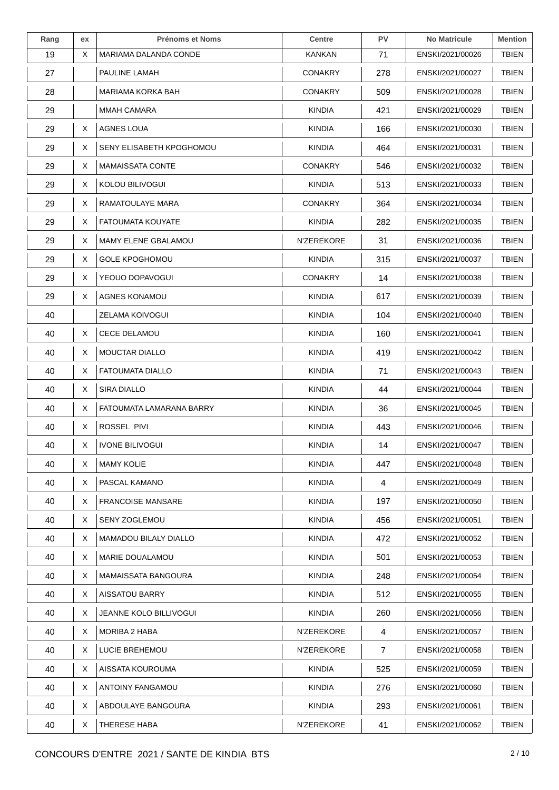| Rang | ex | <b>Prénoms et Noms</b>       | <b>Centre</b>  | PV  | <b>No Matricule</b> | <b>Mention</b> |
|------|----|------------------------------|----------------|-----|---------------------|----------------|
| 19   | X  | MARIAMA DALANDA CONDE        | KANKAN         | 71  | ENSKI/2021/00026    | TBIEN          |
| 27   |    | PAULINE LAMAH                | <b>CONAKRY</b> | 278 | ENSKI/2021/00027    | <b>TBIEN</b>   |
| 28   |    | MARIAMA KORKA BAH            | <b>CONAKRY</b> | 509 | ENSKI/2021/00028    | <b>TBIEN</b>   |
| 29   |    | <b>MMAH CAMARA</b>           | <b>KINDIA</b>  | 421 | ENSKI/2021/00029    | <b>TBIEN</b>   |
| 29   | X. | <b>AGNES LOUA</b>            | <b>KINDIA</b>  | 166 | ENSKI/2021/00030    | <b>TBIEN</b>   |
| 29   | X  | SENY ELISABETH KPOGHOMOU     | <b>KINDIA</b>  | 464 | ENSKI/2021/00031    | TBIEN          |
| 29   | X  | <b>MAMAISSATA CONTE</b>      | <b>CONAKRY</b> | 546 | ENSKI/2021/00032    | <b>TBIEN</b>   |
| 29   | X  | KOLOU BILIVOGUI              | <b>KINDIA</b>  | 513 | ENSKI/2021/00033    | <b>TBIEN</b>   |
| 29   | X  | RAMATOULAYE MARA             | <b>CONAKRY</b> | 364 | ENSKI/2021/00034    | <b>TBIEN</b>   |
| 29   | X  | <b>FATOUMATA KOUYATE</b>     | <b>KINDIA</b>  | 282 | ENSKI/2021/00035    | <b>TBIEN</b>   |
| 29   | X  | MAMY ELENE GBALAMOU          | N'ZEREKORE     | 31  | ENSKI/2021/00036    | <b>TBIEN</b>   |
| 29   | X  | <b>GOLE KPOGHOMOU</b>        | <b>KINDIA</b>  | 315 | ENSKI/2021/00037    | <b>TBIEN</b>   |
| 29   | X  | YEOUO DOPAVOGUI              | <b>CONAKRY</b> | 14  | ENSKI/2021/00038    | <b>TBIEN</b>   |
| 29   | X  | AGNES KONAMOU                | <b>KINDIA</b>  | 617 | ENSKI/2021/00039    | <b>TBIEN</b>   |
| 40   |    | ZELAMA KOIVOGUI              | <b>KINDIA</b>  | 104 | ENSKI/2021/00040    | <b>TBIEN</b>   |
| 40   | X  | <b>CECE DELAMOU</b>          | <b>KINDIA</b>  | 160 | ENSKI/2021/00041    | <b>TBIEN</b>   |
| 40   | X  | MOUCTAR DIALLO               | <b>KINDIA</b>  | 419 | ENSKI/2021/00042    | <b>TBIEN</b>   |
| 40   | X. | <b>FATOUMATA DIALLO</b>      | KINDIA         | 71  | ENSKI/2021/00043    | <b>TBIEN</b>   |
| 40   | X  | SIRA DIALLO                  | <b>KINDIA</b>  | 44  | ENSKI/2021/00044    | <b>TBIEN</b>   |
| 40   | X  | FATOUMATA LAMARANA BARRY     | <b>KINDIA</b>  | 36  | ENSKI/2021/00045    | <b>TBIEN</b>   |
| 40   | X. | ROSSEL PIVI                  | KINDIA         | 443 | ENSKI/2021/00046    | <b>TBIEN</b>   |
| 40   | X  | <b>IVONE BILIVOGUI</b>       | <b>KINDIA</b>  | 14  | ENSKI/2021/00047    | <b>TBIEN</b>   |
| 40   | Χ  | <b>MAMY KOLIE</b>            | <b>KINDIA</b>  | 447 | ENSKI/2021/00048    | <b>TBIEN</b>   |
| 40   | X. | PASCAL KAMANO                | <b>KINDIA</b>  | 4   | ENSKI/2021/00049    | <b>TBIEN</b>   |
| 40   | X  | <b>FRANCOISE MANSARE</b>     | <b>KINDIA</b>  | 197 | ENSKI/2021/00050    | <b>TBIEN</b>   |
| 40   | X  | SENY ZOGLEMOU                | <b>KINDIA</b>  | 456 | ENSKI/2021/00051    | <b>TBIEN</b>   |
| 40   | X  | <b>MAMADOU BILALY DIALLO</b> | <b>KINDIA</b>  | 472 | ENSKI/2021/00052    | <b>TBIEN</b>   |
| 40   | X  | <b>MARIE DOUALAMOU</b>       | <b>KINDIA</b>  | 501 | ENSKI/2021/00053    | <b>TBIEN</b>   |
| 40   | X  | MAMAISSATA BANGOURA          | <b>KINDIA</b>  | 248 | ENSKI/2021/00054    | <b>TBIEN</b>   |
| 40   | X  | <b>AISSATOU BARRY</b>        | <b>KINDIA</b>  | 512 | ENSKI/2021/00055    | <b>TBIEN</b>   |
| 40   | X  | JEANNE KOLO BILLIVOGUI       | <b>KINDIA</b>  | 260 | ENSKI/2021/00056    | <b>TBIEN</b>   |
| 40   | X  | <b>MORIBA 2 HABA</b>         | N'ZEREKORE     | 4   | ENSKI/2021/00057    | <b>TBIEN</b>   |
| 40   | X  | LUCIE BREHEMOU               | N'ZEREKORE     | 7   | ENSKI/2021/00058    | <b>TBIEN</b>   |
| 40   | X  | AISSATA KOUROUMA             | <b>KINDIA</b>  | 525 | ENSKI/2021/00059    | <b>TBIEN</b>   |
| 40   | X  | ANTOINY FANGAMOU             | <b>KINDIA</b>  | 276 | ENSKI/2021/00060    | <b>TBIEN</b>   |
| 40   | X  | ABDOULAYE BANGOURA           | <b>KINDIA</b>  | 293 | ENSKI/2021/00061    | <b>TBIEN</b>   |
| 40   | X  | THERESE HABA                 | N'ZEREKORE     | 41  | ENSKI/2021/00062    | <b>TBIEN</b>   |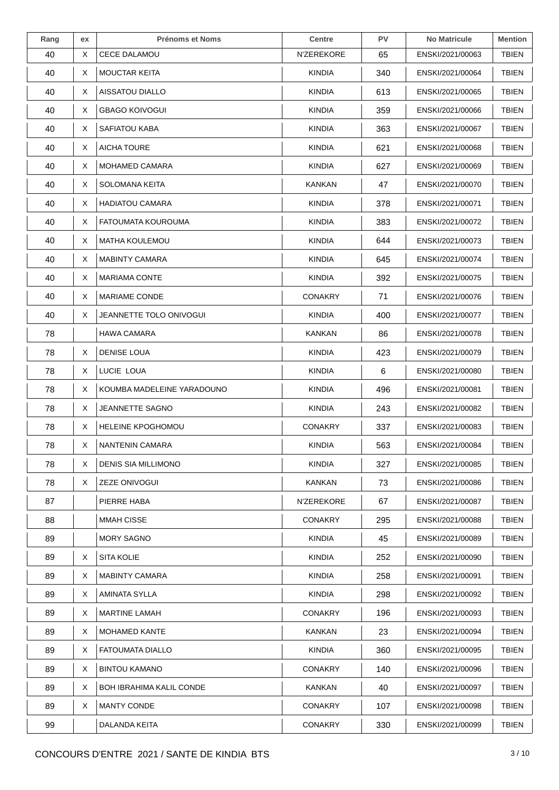| Rang | ex | <b>Prénoms et Noms</b>          | <b>Centre</b>  | <b>PV</b> | <b>No Matricule</b> | <b>Mention</b> |
|------|----|---------------------------------|----------------|-----------|---------------------|----------------|
| 40   | X  | <b>CECE DALAMOU</b>             | N'ZEREKORE     | 65        | ENSKI/2021/00063    | <b>TBIEN</b>   |
| 40   | X  | <b>MOUCTAR KEITA</b>            | <b>KINDIA</b>  | 340       | ENSKI/2021/00064    | <b>TBIEN</b>   |
| 40   | X  | AISSATOU DIALLO                 | <b>KINDIA</b>  | 613       | ENSKI/2021/00065    | <b>TBIEN</b>   |
| 40   | X  | <b>GBAGO KOIVOGUI</b>           | KINDIA         | 359       | ENSKI/2021/00066    | <b>TBIEN</b>   |
| 40   | X  | SAFIATOU KABA                   | <b>KINDIA</b>  | 363       | ENSKI/2021/00067    | <b>TBIEN</b>   |
| 40   | X  | <b>AICHA TOURE</b>              | <b>KINDIA</b>  | 621       | ENSKI/2021/00068    | <b>TBIEN</b>   |
| 40   | X  | <b>MOHAMED CAMARA</b>           | <b>KINDIA</b>  | 627       | ENSKI/2021/00069    | <b>TBIEN</b>   |
| 40   | X. | <b>SOLOMANA KEITA</b>           | KANKAN         | 47        | ENSKI/2021/00070    | <b>TBIEN</b>   |
| 40   | X  | <b>HADIATOU CAMARA</b>          | <b>KINDIA</b>  | 378       | ENSKI/2021/00071    | <b>TBIEN</b>   |
| 40   | X  | FATOUMATA KOUROUMA              | <b>KINDIA</b>  | 383       | ENSKI/2021/00072    | <b>TBIEN</b>   |
| 40   | X  | <b>MATHA KOULEMOU</b>           | <b>KINDIA</b>  | 644       | ENSKI/2021/00073    | <b>TBIEN</b>   |
| 40   | X  | <b>MABINTY CAMARA</b>           | <b>KINDIA</b>  | 645       | ENSKI/2021/00074    | <b>TBIEN</b>   |
| 40   | X  | <b>MARIAMA CONTE</b>            | <b>KINDIA</b>  | 392       | ENSKI/2021/00075    | <b>TBIEN</b>   |
| 40   | X  | <b>MARIAME CONDE</b>            | <b>CONAKRY</b> | 71        | ENSKI/2021/00076    | <b>TBIEN</b>   |
| 40   | X  | JEANNETTE TOLO ONIVOGUI         | <b>KINDIA</b>  | 400       | ENSKI/2021/00077    | <b>TBIEN</b>   |
| 78   |    | <b>HAWA CAMARA</b>              | <b>KANKAN</b>  | 86        | ENSKI/2021/00078    | <b>TBIEN</b>   |
| 78   | X  | <b>DENISE LOUA</b>              | <b>KINDIA</b>  | 423       | ENSKI/2021/00079    | <b>TBIEN</b>   |
| 78   | X  | LUCIE LOUA                      | <b>KINDIA</b>  | 6         | ENSKI/2021/00080    | <b>TBIEN</b>   |
| 78   | X  | KOUMBA MADELEINE YARADOUNO      | <b>KINDIA</b>  | 496       | ENSKI/2021/00081    | <b>TBIEN</b>   |
| 78   | X  | JEANNETTE SAGNO                 | <b>KINDIA</b>  | 243       | ENSKI/2021/00082    | <b>TBIEN</b>   |
| 78   | X. | <b>HELEINE KPOGHOMOU</b>        | <b>CONAKRY</b> | 337       | ENSKI/2021/00083    | <b>TBIEN</b>   |
| 78   | X  | NANTENIN CAMARA                 | <b>KINDIA</b>  | 563       | ENSKI/2021/00084    | <b>TBIEN</b>   |
| 78   | X  | DENIS SIA MILLIMONO             | <b>KINDIA</b>  | 327       | ENSKI/2021/00085    | <b>TBIEN</b>   |
| 78   | X  | <b>ZEZE ONIVOGUI</b>            | <b>KANKAN</b>  | 73        | ENSKI/2021/00086    | <b>TBIEN</b>   |
| 87   |    | PIERRE HABA                     | N'ZEREKORE     | 67        | ENSKI/2021/00087    | <b>TBIEN</b>   |
| 88   |    | <b>MMAH CISSE</b>               | <b>CONAKRY</b> | 295       | ENSKI/2021/00088    | <b>TBIEN</b>   |
| 89   |    | <b>MORY SAGNO</b>               | <b>KINDIA</b>  | 45        | ENSKI/2021/00089    | <b>TBIEN</b>   |
| 89   | X  | <b>SITA KOLIE</b>               | <b>KINDIA</b>  | 252       | ENSKI/2021/00090    | <b>TBIEN</b>   |
| 89   | X  | <b>MABINTY CAMARA</b>           | <b>KINDIA</b>  | 258       | ENSKI/2021/00091    | <b>TBIEN</b>   |
| 89   | X  | AMINATA SYLLA                   | KINDIA         | 298       | ENSKI/2021/00092    | <b>TBIEN</b>   |
| 89   | X  | <b>MARTINE LAMAH</b>            | <b>CONAKRY</b> | 196       | ENSKI/2021/00093    | <b>TBIEN</b>   |
| 89   | X  | <b>MOHAMED KANTE</b>            | <b>KANKAN</b>  | 23        | ENSKI/2021/00094    | <b>TBIEN</b>   |
| 89   | X  | <b>FATOUMATA DIALLO</b>         | <b>KINDIA</b>  | 360       | ENSKI/2021/00095    | <b>TBIEN</b>   |
| 89   | X  | <b>BINTOU KAMANO</b>            | <b>CONAKRY</b> | 140       | ENSKI/2021/00096    | <b>TBIEN</b>   |
| 89   | X  | <b>BOH IBRAHIMA KALIL CONDE</b> | <b>KANKAN</b>  | 40        | ENSKI/2021/00097    | <b>TBIEN</b>   |
| 89   | X  | <b>MANTY CONDE</b>              | <b>CONAKRY</b> | 107       | ENSKI/2021/00098    | <b>TBIEN</b>   |
| 99   |    | DALANDA KEITA                   | <b>CONAKRY</b> | 330       | ENSKI/2021/00099    | <b>TBIEN</b>   |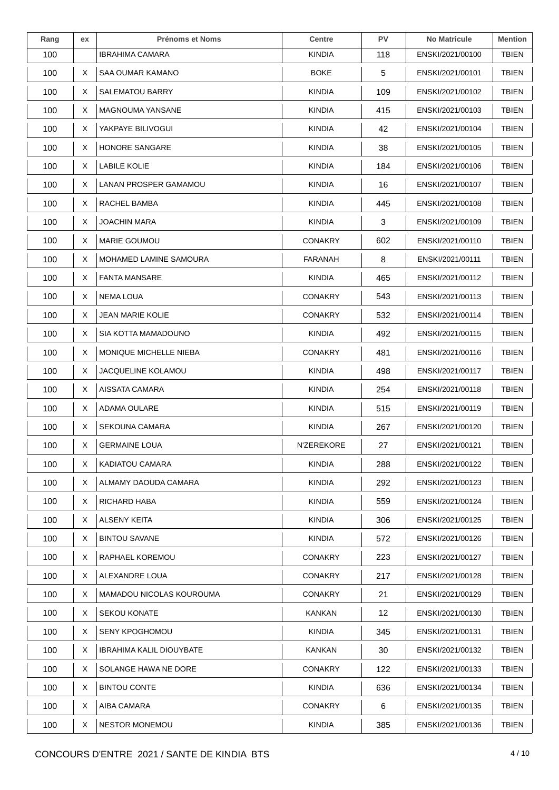| Rang | ex | <b>Prénoms et Noms</b>          | <b>Centre</b>  | PV  | <b>No Matricule</b> | <b>Mention</b> |
|------|----|---------------------------------|----------------|-----|---------------------|----------------|
| 100  |    | IBRAHIMA CAMARA                 | <b>KINDIA</b>  | 118 | ENSKI/2021/00100    | <b>TBIEN</b>   |
| 100  | X  | SAA OUMAR KAMANO                | <b>BOKE</b>    | 5   | ENSKI/2021/00101    | <b>TBIEN</b>   |
| 100  | X  | <b>SALEMATOU BARRY</b>          | <b>KINDIA</b>  | 109 | ENSKI/2021/00102    | TBIEN          |
| 100  | X  | MAGNOUMA YANSANE                | <b>KINDIA</b>  | 415 | ENSKI/2021/00103    | <b>TBIEN</b>   |
| 100  | X  | YAKPAYE BILIVOGUI               | <b>KINDIA</b>  | 42  | ENSKI/2021/00104    | <b>TBIEN</b>   |
| 100  | X  | HONORE SANGARE                  | <b>KINDIA</b>  | 38  | ENSKI/2021/00105    | TBIEN          |
| 100  | X  | LABILE KOLIE                    | <b>KINDIA</b>  | 184 | ENSKI/2021/00106    | <b>TBIEN</b>   |
| 100  | X  | LANAN PROSPER GAMAMOU           | <b>KINDIA</b>  | 16  | ENSKI/2021/00107    | <b>TBIEN</b>   |
| 100  | X  | RACHEL BAMBA                    | <b>KINDIA</b>  | 445 | ENSKI/2021/00108    | <b>TBIEN</b>   |
| 100  | Χ  | <b>JOACHIN MARA</b>             | <b>KINDIA</b>  | 3   | ENSKI/2021/00109    | <b>TBIEN</b>   |
| 100  | X  | <b>MARIE GOUMOU</b>             | <b>CONAKRY</b> | 602 | ENSKI/2021/00110    | <b>TBIEN</b>   |
| 100  | X  | MOHAMED LAMINE SAMOURA          | FARANAH        | 8   | ENSKI/2021/00111    | <b>TBIEN</b>   |
| 100  | Χ  | <b>FANTA MANSARE</b>            | <b>KINDIA</b>  | 465 | ENSKI/2021/00112    | <b>TBIEN</b>   |
| 100  | X  | NEMA LOUA                       | <b>CONAKRY</b> | 543 | ENSKI/2021/00113    | <b>TBIEN</b>   |
| 100  | X. | <b>JEAN MARIE KOLIE</b>         | <b>CONAKRY</b> | 532 | ENSKI/2021/00114    | <b>TBIEN</b>   |
| 100  | Χ  | SIA KOTTA MAMADOUNO             | <b>KINDIA</b>  | 492 | ENSKI/2021/00115    | <b>TBIEN</b>   |
| 100  | X. | MONIQUE MICHELLE NIEBA          | <b>CONAKRY</b> | 481 | ENSKI/2021/00116    | <b>TBIEN</b>   |
| 100  | X  | <b>JACQUELINE KOLAMOU</b>       | <b>KINDIA</b>  | 498 | ENSKI/2021/00117    | <b>TBIEN</b>   |
| 100  | X  | AISSATA CAMARA                  | <b>KINDIA</b>  | 254 | ENSKI/2021/00118    | <b>TBIEN</b>   |
| 100  | X  | ADAMA OULARE                    | <b>KINDIA</b>  | 515 | ENSKI/2021/00119    | <b>TBIEN</b>   |
| 100  | X. | <b>SEKOUNA CAMARA</b>           | <b>KINDIA</b>  | 267 | ENSKI/2021/00120    | <b>TBIEN</b>   |
| 100  | X  | <b>GERMAINE LOUA</b>            | N'ZEREKORE     | 27  | ENSKI/2021/00121    | <b>TBIEN</b>   |
| 100  | X  | KADIATOU CAMARA                 | <b>KINDIA</b>  | 288 | ENSKI/2021/00122    | <b>TBIEN</b>   |
| 100  | X  | ALMAMY DAOUDA CAMARA            | <b>KINDIA</b>  | 292 | ENSKI/2021/00123    | <b>TBIEN</b>   |
| 100  | X  | RICHARD HABA                    | <b>KINDIA</b>  | 559 | ENSKI/2021/00124    | <b>TBIEN</b>   |
| 100  | X  | ALSENY KEITA                    | <b>KINDIA</b>  | 306 | ENSKI/2021/00125    | <b>TBIEN</b>   |
| 100  | X. | <b>BINTOU SAVANE</b>            | <b>KINDIA</b>  | 572 | ENSKI/2021/00126    | <b>TBIEN</b>   |
| 100  | X. | RAPHAEL KOREMOU                 | <b>CONAKRY</b> | 223 | ENSKI/2021/00127    | <b>TBIEN</b>   |
| 100  | Χ  | ALEXANDRE LOUA                  | <b>CONAKRY</b> | 217 | ENSKI/2021/00128    | <b>TBIEN</b>   |
| 100  | X  | MAMADOU NICOLAS KOUROUMA        | <b>CONAKRY</b> | 21  | ENSKI/2021/00129    | <b>TBIEN</b>   |
| 100  | X  | <b>SEKOU KONATE</b>             | KANKAN         | 12  | ENSKI/2021/00130    | <b>TBIEN</b>   |
| 100  | X  | <b>SENY KPOGHOMOU</b>           | <b>KINDIA</b>  | 345 | ENSKI/2021/00131    | <b>TBIEN</b>   |
| 100  | X. | <b>IBRAHIMA KALIL DIOUYBATE</b> | KANKAN         | 30  | ENSKI/2021/00132    | <b>TBIEN</b>   |
| 100  | X. | SOLANGE HAWA NE DORE            | <b>CONAKRY</b> | 122 | ENSKI/2021/00133    | <b>TBIEN</b>   |
| 100  | X. | <b>BINTOU CONTE</b>             | <b>KINDIA</b>  | 636 | ENSKI/2021/00134    | <b>TBIEN</b>   |
| 100  | X  | AIBA CAMARA                     | <b>CONAKRY</b> | 6   | ENSKI/2021/00135    | <b>TBIEN</b>   |
| 100  | X  | <b>NESTOR MONEMOU</b>           | <b>KINDIA</b>  | 385 | ENSKI/2021/00136    | <b>TBIEN</b>   |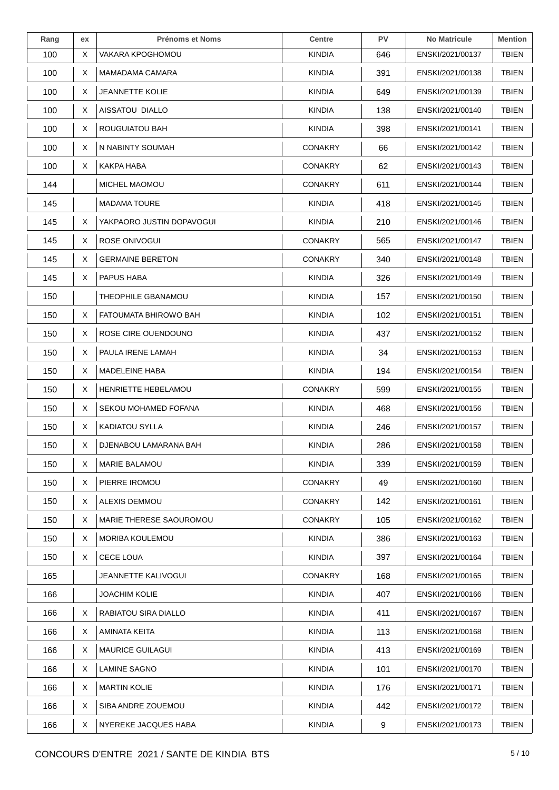| Rang | ex | <b>Prénoms et Noms</b>    | <b>Centre</b>  | PV  | <b>No Matricule</b> | <b>Mention</b> |
|------|----|---------------------------|----------------|-----|---------------------|----------------|
| 100  | Χ  | VAKARA KPOGHOMOU          | <b>KINDIA</b>  | 646 | ENSKI/2021/00137    | <b>TBIEN</b>   |
| 100  | X. | MAMADAMA CAMARA           | <b>KINDIA</b>  | 391 | ENSKI/2021/00138    | <b>TBIEN</b>   |
| 100  | X  | JEANNETTE KOLIE           | <b>KINDIA</b>  | 649 | ENSKI/2021/00139    | <b>TBIEN</b>   |
| 100  | X  | AISSATOU DIALLO           | KINDIA         | 138 | ENSKI/2021/00140    | TBIEN          |
| 100  | X  | <b>ROUGUIATOU BAH</b>     | <b>KINDIA</b>  | 398 | ENSKI/2021/00141    | <b>TBIEN</b>   |
| 100  | Χ  | N NABINTY SOUMAH          | <b>CONAKRY</b> | 66  | ENSKI/2021/00142    | TBIEN          |
| 100  | X  | KAKPA HABA                | <b>CONAKRY</b> | 62  | ENSKI/2021/00143    | <b>TBIEN</b>   |
| 144  |    | MICHEL MAOMOU             | <b>CONAKRY</b> | 611 | ENSKI/2021/00144    | <b>TBIEN</b>   |
| 145  |    | <b>MADAMA TOURE</b>       | <b>KINDIA</b>  | 418 | ENSKI/2021/00145    | <b>TBIEN</b>   |
| 145  | X  | YAKPAORO JUSTIN DOPAVOGUI | <b>KINDIA</b>  | 210 | ENSKI/2021/00146    | TBIEN          |
| 145  | X  | ROSE ONIVOGUI             | <b>CONAKRY</b> | 565 | ENSKI/2021/00147    | <b>TBIEN</b>   |
| 145  | Χ  | <b>GERMAINE BERETON</b>   | <b>CONAKRY</b> | 340 | ENSKI/2021/00148    | <b>TBIEN</b>   |
| 145  | X  | PAPUS HABA                | <b>KINDIA</b>  | 326 | ENSKI/2021/00149    | <b>TBIEN</b>   |
| 150  |    | THEOPHILE GBANAMOU        | <b>KINDIA</b>  | 157 | ENSKI/2021/00150    | <b>TBIEN</b>   |
| 150  | Χ  | FATOUMATA BHIROWO BAH     | <b>KINDIA</b>  | 102 | ENSKI/2021/00151    | <b>TBIEN</b>   |
| 150  | Χ  | ROSE CIRE OUENDOUNO       | <b>KINDIA</b>  | 437 | ENSKI/2021/00152    | <b>TBIEN</b>   |
| 150  | X  | PAULA IRENE LAMAH         | KINDIA         | 34  | ENSKI/2021/00153    | TBIEN          |
| 150  | X  | <b>MADELEINE HABA</b>     | <b>KINDIA</b>  | 194 | ENSKI/2021/00154    | <b>TBIEN</b>   |
| 150  | Χ  | HENRIETTE HEBELAMOU       | <b>CONAKRY</b> | 599 | ENSKI/2021/00155    | <b>TBIEN</b>   |
| 150  | X  | SEKOU MOHAMED FOFANA      | <b>KINDIA</b>  | 468 | ENSKI/2021/00156    | <b>TBIEN</b>   |
| 150  | X  | <b>KADIATOU SYLLA</b>     | <b>KINDIA</b>  | 246 | ENSKI/2021/00157    | <b>TBIEN</b>   |
| 150  | X  | DJENABOU LAMARANA BAH     | <b>KINDIA</b>  | 286 | ENSKI/2021/00158    | <b>TBIEN</b>   |
| 150  | X  | <b>MARIE BALAMOU</b>      | <b>KINDIA</b>  | 339 | ENSKI/2021/00159    | TBIEN          |
| 150  | X. | PIERRE IROMOU             | CONAKRY        | 49  | ENSKI/2021/00160    | <b>TBIEN</b>   |
| 150  | X  | ALEXIS DEMMOU             | <b>CONAKRY</b> | 142 | ENSKI/2021/00161    | <b>TBIEN</b>   |
| 150  | X. | MARIE THERESE SAOUROMOU   | <b>CONAKRY</b> | 105 | ENSKI/2021/00162    | <b>TBIEN</b>   |
| 150  | X. | <b>MORIBA KOULEMOU</b>    | <b>KINDIA</b>  | 386 | ENSKI/2021/00163    | <b>TBIEN</b>   |
| 150  | X  | <b>CECE LOUA</b>          | <b>KINDIA</b>  | 397 | ENSKI/2021/00164    | <b>TBIEN</b>   |
| 165  |    | JEANNETTE KALIVOGUI       | <b>CONAKRY</b> | 168 | ENSKI/2021/00165    | <b>TBIEN</b>   |
| 166  |    | JOACHIM KOLIE             | KINDIA         | 407 | ENSKI/2021/00166    | TBIEN          |
| 166  | X  | RABIATOU SIRA DIALLO      | <b>KINDIA</b>  | 411 | ENSKI/2021/00167    | <b>TBIEN</b>   |
| 166  | X  | AMINATA KEITA             | <b>KINDIA</b>  | 113 | ENSKI/2021/00168    | <b>TBIEN</b>   |
| 166  | X  | <b>MAURICE GUILAGUI</b>   | <b>KINDIA</b>  | 413 | ENSKI/2021/00169    | <b>TBIEN</b>   |
| 166  | X  | LAMINE SAGNO              | KINDIA         | 101 | ENSKI/2021/00170    | <b>TBIEN</b>   |
| 166  | Χ  | <b>MARTIN KOLIE</b>       | <b>KINDIA</b>  | 176 | ENSKI/2021/00171    | <b>TBIEN</b>   |
| 166  | X  | SIBA ANDRE ZOUEMOU        | <b>KINDIA</b>  | 442 | ENSKI/2021/00172    | TBIEN          |
| 166  | X  | NYEREKE JACQUES HABA      | <b>KINDIA</b>  | 9   | ENSKI/2021/00173    | <b>TBIEN</b>   |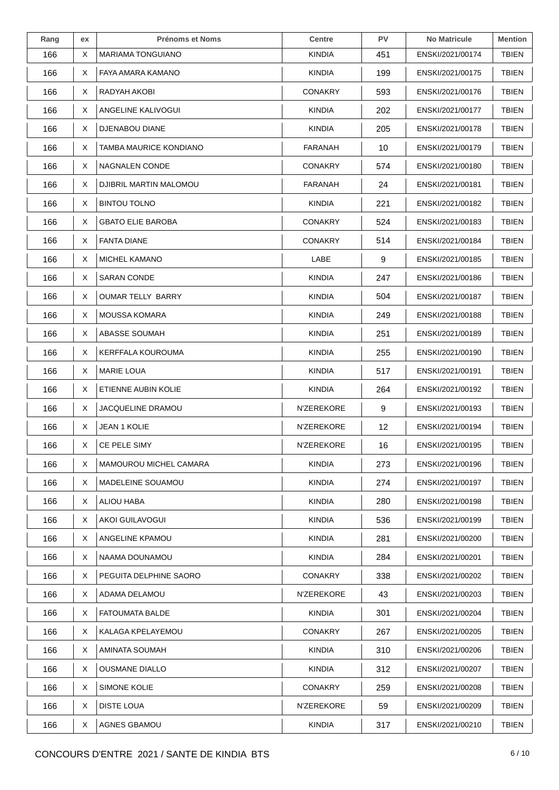| Rang | ex | <b>Prénoms et Noms</b>   | <b>Centre</b>     | PV  | <b>No Matricule</b> | <b>Mention</b> |
|------|----|--------------------------|-------------------|-----|---------------------|----------------|
| 166  | X  | <b>MARIAMA TONGUIANO</b> | KINDIA            | 451 | ENSKI/2021/00174    | TBIEN          |
| 166  | X  | FAYA AMARA KAMANO        | <b>KINDIA</b>     | 199 | ENSKI/2021/00175    | <b>TBIEN</b>   |
| 166  | Χ  | RADYAH AKOBI             | <b>CONAKRY</b>    | 593 | ENSKI/2021/00176    | <b>TBIEN</b>   |
| 166  | X  | ANGELINE KALIVOGUI       | KINDIA            | 202 | ENSKI/2021/00177    | <b>TBIEN</b>   |
| 166  | X  | DJENABOU DIANE           | <b>KINDIA</b>     | 205 | ENSKI/2021/00178    | <b>TBIEN</b>   |
| 166  | X  | TAMBA MAURICE KONDIANO   | FARANAH           | 10  | ENSKI/2021/00179    | TBIEN          |
| 166  | X  | <b>NAGNALEN CONDE</b>    | <b>CONAKRY</b>    | 574 | ENSKI/2021/00180    | TBIEN          |
| 166  | X  | DJIBRIL MARTIN MALOMOU   | FARANAH           | 24  | ENSKI/2021/00181    | <b>TBIEN</b>   |
| 166  | X  | <b>BINTOU TOLNO</b>      | <b>KINDIA</b>     | 221 | ENSKI/2021/00182    | <b>TBIEN</b>   |
| 166  | X  | <b>GBATO ELIE BAROBA</b> | <b>CONAKRY</b>    | 524 | ENSKI/2021/00183    | <b>TBIEN</b>   |
| 166  | X  | <b>FANTA DIANE</b>       | <b>CONAKRY</b>    | 514 | ENSKI/2021/00184    | <b>TBIEN</b>   |
| 166  | X  | MICHEL KAMANO            | LABE              | 9   | ENSKI/2021/00185    | <b>TBIEN</b>   |
| 166  | X  | <b>SARAN CONDE</b>       | <b>KINDIA</b>     | 247 | ENSKI/2021/00186    | <b>TBIEN</b>   |
| 166  | X  | <b>OUMAR TELLY BARRY</b> | <b>KINDIA</b>     | 504 | ENSKI/2021/00187    | <b>TBIEN</b>   |
| 166  | X. | <b>MOUSSA KOMARA</b>     | <b>KINDIA</b>     | 249 | ENSKI/2021/00188    | TBIEN          |
| 166  | X  | ABASSE SOUMAH            | <b>KINDIA</b>     | 251 | ENSKI/2021/00189    | <b>TBIEN</b>   |
| 166  | X  | KERFFALA KOUROUMA        | <b>KINDIA</b>     | 255 | ENSKI/2021/00190    | <b>TBIEN</b>   |
| 166  | X  | <b>MARIE LOUA</b>        | KINDIA            | 517 | ENSKI/2021/00191    | <b>TBIEN</b>   |
| 166  | X  | ETIENNE AUBIN KOLIE      | <b>KINDIA</b>     | 264 | ENSKI/2021/00192    | <b>TBIEN</b>   |
| 166  | X. | JACQUELINE DRAMOU        | N'ZEREKORE        | 9   | ENSKI/2021/00193    | <b>TBIEN</b>   |
| 166  | X  | JEAN 1 KOLIE             | N'ZEREKORE        | 12  | ENSKI/2021/00194    | <b>TBIEN</b>   |
| 166  | X  | CE PELE SIMY             | N'ZEREKORE        | 16  | ENSKI/2021/00195    | <b>TBIEN</b>   |
| 166  | X  | MAMOUROU MICHEL CAMARA   | <b>KINDIA</b>     | 273 | ENSKI/2021/00196    | <b>TBIEN</b>   |
| 166  | X. | MADELEINE SOUAMOU        | <b>KINDIA</b>     | 274 | ENSKI/2021/00197    | <b>TBIEN</b>   |
| 166  | X  | <b>ALIOU HABA</b>        | <b>KINDIA</b>     | 280 | ENSKI/2021/00198    | <b>TBIEN</b>   |
| 166  | X  | AKOI GUILAVOGUI          | <b>KINDIA</b>     | 536 | ENSKI/2021/00199    | <b>TBIEN</b>   |
| 166  | X. | ANGELINE KPAMOU          | <b>KINDIA</b>     | 281 | ENSKI/2021/00200    | <b>TBIEN</b>   |
| 166  | X  | NAAMA DOUNAMOU           | <b>KINDIA</b>     | 284 | ENSKI/2021/00201    | <b>TBIEN</b>   |
| 166  | X  | PEGUITA DELPHINE SAORO   | <b>CONAKRY</b>    | 338 | ENSKI/2021/00202    | <b>TBIEN</b>   |
| 166  | X  | ADAMA DELAMOU            | <b>N'ZEREKORE</b> | 43  | ENSKI/2021/00203    | <b>TBIEN</b>   |
| 166  | X  | <b>FATOUMATA BALDE</b>   | <b>KINDIA</b>     | 301 | ENSKI/2021/00204    | TBIEN          |
| 166  | X. | KALAGA KPELAYEMOU        | <b>CONAKRY</b>    | 267 | ENSKI/2021/00205    | <b>TBIEN</b>   |
| 166  | X  | AMINATA SOUMAH           | <b>KINDIA</b>     | 310 | ENSKI/2021/00206    | <b>TBIEN</b>   |
| 166  | X  | <b>OUSMANE DIALLO</b>    | <b>KINDIA</b>     | 312 | ENSKI/2021/00207    | <b>TBIEN</b>   |
| 166  | X  | SIMONE KOLIE             | <b>CONAKRY</b>    | 259 | ENSKI/2021/00208    | <b>TBIEN</b>   |
| 166  | X  | <b>DISTE LOUA</b>        | N'ZEREKORE        | 59  | ENSKI/2021/00209    | TBIEN          |
| 166  | X  | AGNES GBAMOU             | <b>KINDIA</b>     | 317 | ENSKI/2021/00210    | <b>TBIEN</b>   |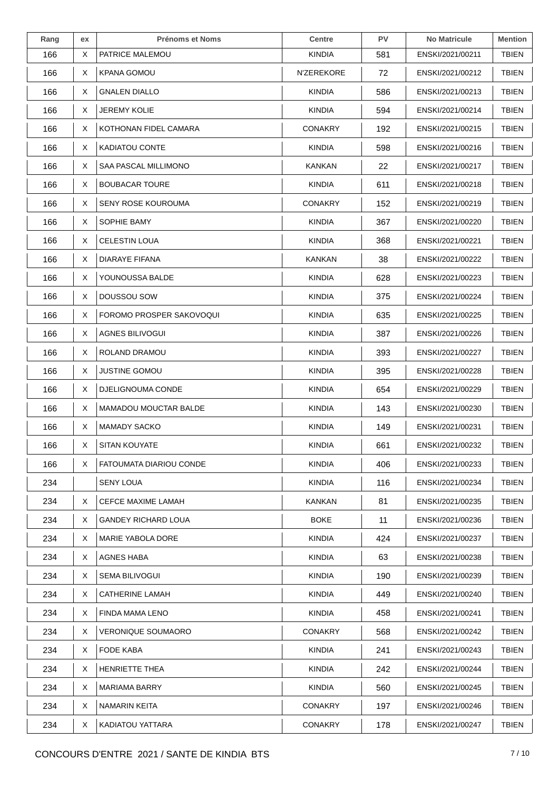| Rang | ex | <b>Prénoms et Noms</b>     | <b>Centre</b>  | PV  | <b>No Matricule</b> | <b>Mention</b> |
|------|----|----------------------------|----------------|-----|---------------------|----------------|
| 166  | X  | PATRICE MALEMOU            | <b>KINDIA</b>  | 581 | ENSKI/2021/00211    | <b>TBIEN</b>   |
| 166  | X  | <b>KPANA GOMOU</b>         | N'ZEREKORE     | 72  | ENSKI/2021/00212    | <b>TBIEN</b>   |
| 166  | X  | <b>GNALEN DIALLO</b>       | <b>KINDIA</b>  | 586 | ENSKI/2021/00213    | <b>TBIEN</b>   |
| 166  | X  | <b>JEREMY KOLIE</b>        | KINDIA         | 594 | ENSKI/2021/00214    | <b>TBIEN</b>   |
| 166  | X  | KOTHONAN FIDEL CAMARA      | <b>CONAKRY</b> | 192 | ENSKI/2021/00215    | <b>TBIEN</b>   |
| 166  | X  | <b>KADIATOU CONTE</b>      | <b>KINDIA</b>  | 598 | ENSKI/2021/00216    | TBIEN          |
| 166  | X  | SAA PASCAL MILLIMONO       | KANKAN         | 22  | ENSKI/2021/00217    | <b>TBIEN</b>   |
| 166  | X  | <b>BOUBACAR TOURE</b>      | <b>KINDIA</b>  | 611 | ENSKI/2021/00218    | <b>TBIEN</b>   |
| 166  | X  | <b>SENY ROSE KOUROUMA</b>  | <b>CONAKRY</b> | 152 | ENSKI/2021/00219    | <b>TBIEN</b>   |
| 166  | X  | SOPHIE BAMY                | <b>KINDIA</b>  | 367 | ENSKI/2021/00220    | <b>TBIEN</b>   |
| 166  | X  | <b>CELESTIN LOUA</b>       | <b>KINDIA</b>  | 368 | ENSKI/2021/00221    | <b>TBIEN</b>   |
| 166  | X  | DIARAYE FIFANA             | KANKAN         | 38  | ENSKI/2021/00222    | <b>TBIEN</b>   |
| 166  | X  | YOUNOUSSA BALDE            | <b>KINDIA</b>  | 628 | ENSKI/2021/00223    | <b>TBIEN</b>   |
| 166  | X  | DOUSSOU SOW                | <b>KINDIA</b>  | 375 | ENSKI/2021/00224    | <b>TBIEN</b>   |
| 166  | X  | FOROMO PROSPER SAKOVOQUI   | <b>KINDIA</b>  | 635 | ENSKI/2021/00225    | <b>TBIEN</b>   |
| 166  | X  | AGNES BILIVOGUI            | <b>KINDIA</b>  | 387 | ENSKI/2021/00226    | <b>TBIEN</b>   |
| 166  | X. | ROLAND DRAMOU              | <b>KINDIA</b>  | 393 | ENSKI/2021/00227    | <b>TBIEN</b>   |
| 166  | X. | <b>JUSTINE GOMOU</b>       | <b>KINDIA</b>  | 395 | ENSKI/2021/00228    | <b>TBIEN</b>   |
| 166  | X  | DJELIGNOUMA CONDE          | <b>KINDIA</b>  | 654 | ENSKI/2021/00229    | <b>TBIEN</b>   |
| 166  | X  | MAMADOU MOUCTAR BALDE      | <b>KINDIA</b>  | 143 | ENSKI/2021/00230    | <b>TBIEN</b>   |
| 166  | X. | <b>MAMADY SACKO</b>        | <b>KINDIA</b>  | 149 | ENSKI/2021/00231    | <b>TBIEN</b>   |
| 166  | X  | <b>SITAN KOUYATE</b>       | <b>KINDIA</b>  | 661 | ENSKI/2021/00232    | <b>TBIEN</b>   |
| 166  | X. | FATOUMATA DIARIOU CONDE    | <b>KINDIA</b>  | 406 | ENSKI/2021/00233    | <b>TBIEN</b>   |
| 234  |    | SENY LOUA                  | <b>KINDIA</b>  | 116 | ENSKI/2021/00234    | <b>TBIEN</b>   |
| 234  | X  | <b>CEFCE MAXIME LAMAH</b>  | <b>KANKAN</b>  | 81  | ENSKI/2021/00235    | TBIEN          |
| 234  | X. | <b>GANDEY RICHARD LOUA</b> | <b>BOKE</b>    | 11  | ENSKI/2021/00236    | <b>TBIEN</b>   |
| 234  | X. | MARIE YABOLA DORE          | <b>KINDIA</b>  | 424 | ENSKI/2021/00237    | <b>TBIEN</b>   |
| 234  | X  | <b>AGNES HABA</b>          | <b>KINDIA</b>  | 63  | ENSKI/2021/00238    | <b>TBIEN</b>   |
| 234  | X  | <b>SEMA BILIVOGUI</b>      | <b>KINDIA</b>  | 190 | ENSKI/2021/00239    | <b>TBIEN</b>   |
| 234  | X. | CATHERINE LAMAH            | KINDIA         | 449 | ENSKI/2021/00240    | TBIEN          |
| 234  | X  | FINDA MAMA LENO            | <b>KINDIA</b>  | 458 | ENSKI/2021/00241    | <b>TBIEN</b>   |
| 234  | X  | <b>VERONIQUE SOUMAORO</b>  | <b>CONAKRY</b> | 568 | ENSKI/2021/00242    | <b>TBIEN</b>   |
| 234  | X  | FODE KABA                  | <b>KINDIA</b>  | 241 | ENSKI/2021/00243    | <b>TBIEN</b>   |
| 234  | X. | HENRIETTE THEA             | KINDIA         | 242 | ENSKI/2021/00244    | <b>TBIEN</b>   |
| 234  | X  | MARIAMA BARRY              | <b>KINDIA</b>  | 560 | ENSKI/2021/00245    | <b>TBIEN</b>   |
| 234  | X  | <b>NAMARIN KEITA</b>       | <b>CONAKRY</b> | 197 | ENSKI/2021/00246    | <b>TBIEN</b>   |
| 234  | X  | KADIATOU YATTARA           | <b>CONAKRY</b> | 178 | ENSKI/2021/00247    | <b>TBIEN</b>   |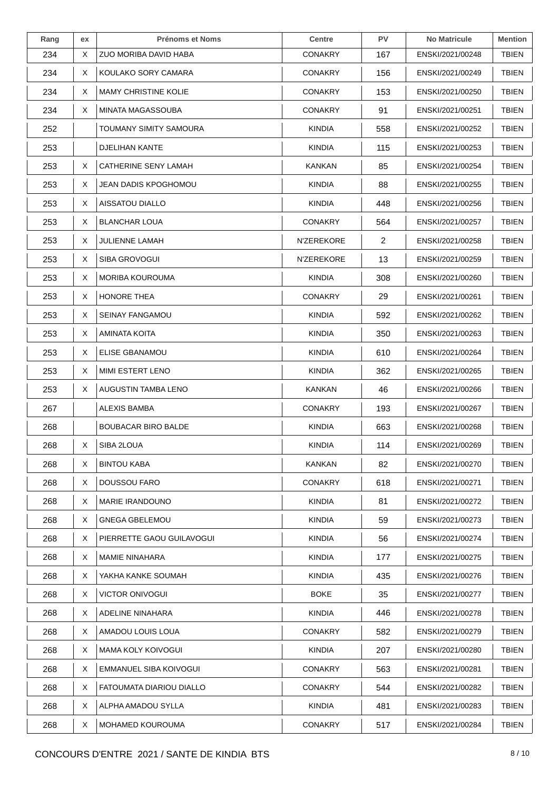| Rang | ex | <b>Prénoms et Noms</b>      | <b>Centre</b>  | PV             | <b>No Matricule</b> | <b>Mention</b> |
|------|----|-----------------------------|----------------|----------------|---------------------|----------------|
| 234  | X  | ZUO MORIBA DAVID HABA       | <b>CONAKRY</b> | 167            | ENSKI/2021/00248    | TBIEN          |
| 234  | X  | KOULAKO SORY CAMARA         | <b>CONAKRY</b> | 156            | ENSKI/2021/00249    | <b>TBIEN</b>   |
| 234  | X  | <b>MAMY CHRISTINE KOLIE</b> | <b>CONAKRY</b> | 153            | ENSKI/2021/00250    | <b>TBIEN</b>   |
| 234  | X  | MINATA MAGASSOUBA           | <b>CONAKRY</b> | 91             | ENSKI/2021/00251    | <b>TBIEN</b>   |
| 252  |    | TOUMANY SIMITY SAMOURA      | KINDIA         | 558            | ENSKI/2021/00252    | <b>TBIEN</b>   |
| 253  |    | DJELIHAN KANTE              | <b>KINDIA</b>  | 115            | ENSKI/2021/00253    | TBIEN          |
| 253  | X  | <b>CATHERINE SENY LAMAH</b> | KANKAN         | 85             | ENSKI/2021/00254    | <b>TBIEN</b>   |
| 253  | X. | JEAN DADIS KPOGHOMOU        | <b>KINDIA</b>  | 88             | ENSKI/2021/00255    | <b>TBIEN</b>   |
| 253  | X  | AISSATOU DIALLO             | KINDIA         | 448            | ENSKI/2021/00256    | <b>TBIEN</b>   |
| 253  | X  | <b>BLANCHAR LOUA</b>        | <b>CONAKRY</b> | 564            | ENSKI/2021/00257    | <b>TBIEN</b>   |
| 253  | X  | <b>JULIENNE LAMAH</b>       | N'ZEREKORE     | $\overline{2}$ | ENSKI/2021/00258    | <b>TBIEN</b>   |
| 253  | X  | <b>SIBA GROVOGUI</b>        | N'ZEREKORE     | 13             | ENSKI/2021/00259    | <b>TBIEN</b>   |
| 253  | X  | <b>MORIBA KOUROUMA</b>      | <b>KINDIA</b>  | 308            | ENSKI/2021/00260    | <b>TBIEN</b>   |
| 253  | X  | HONORE THEA                 | <b>CONAKRY</b> | 29             | ENSKI/2021/00261    | <b>TBIEN</b>   |
| 253  | X. | <b>SEINAY FANGAMOU</b>      | <b>KINDIA</b>  | 592            | ENSKI/2021/00262    | <b>TBIEN</b>   |
| 253  | X  | AMINATA KOITA               | <b>KINDIA</b>  | 350            | ENSKI/2021/00263    | <b>TBIEN</b>   |
| 253  | X  | ELISE GBANAMOU              | <b>KINDIA</b>  | 610            | ENSKI/2021/00264    | <b>TBIEN</b>   |
| 253  | X. | MIMI ESTERT LENO            | KINDIA         | 362            | ENSKI/2021/00265    | <b>TBIEN</b>   |
| 253  | X  | AUGUSTIN TAMBA LENO         | <b>KANKAN</b>  | 46             | ENSKI/2021/00266    | <b>TBIEN</b>   |
| 267  |    | ALEXIS BAMBA                | <b>CONAKRY</b> | 193            | ENSKI/2021/00267    | <b>TBIEN</b>   |
| 268  |    | <b>BOUBACAR BIRO BALDE</b>  | KINDIA         | 663            | ENSKI/2021/00268    | <b>TBIEN</b>   |
| 268  | X  | SIBA 2LOUA                  | <b>KINDIA</b>  | 114            | ENSKI/2021/00269    | <b>TBIEN</b>   |
| 268  | X  | <b>BINTOU KABA</b>          | KANKAN         | 82             | ENSKI/2021/00270    | <b>TBIEN</b>   |
| 268  | X. | DOUSSOU FARO                | <b>CONAKRY</b> | 618            | ENSKI/2021/00271    | <b>TBIEN</b>   |
| 268  | X  | <b>MARIE IRANDOUNO</b>      | <b>KINDIA</b>  | 81             | ENSKI/2021/00272    | <b>TBIEN</b>   |
| 268  | X  | <b>GNEGA GBELEMOU</b>       | <b>KINDIA</b>  | 59             | ENSKI/2021/00273    | <b>TBIEN</b>   |
| 268  | X  | PIERRETTE GAOU GUILAVOGUI   | <b>KINDIA</b>  | 56             | ENSKI/2021/00274    | <b>TBIEN</b>   |
| 268  | X  | <b>MAMIE NINAHARA</b>       | <b>KINDIA</b>  | 177            | ENSKI/2021/00275    | <b>TBIEN</b>   |
| 268  | X  | YAKHA KANKE SOUMAH          | <b>KINDIA</b>  | 435            | ENSKI/2021/00276    | <b>TBIEN</b>   |
| 268  | X  | <b>VICTOR ONIVOGUI</b>      | <b>BOKE</b>    | 35             | ENSKI/2021/00277    | <b>TBIEN</b>   |
| 268  | X  | ADELINE NINAHARA            | <b>KINDIA</b>  | 446            | ENSKI/2021/00278    | <b>TBIEN</b>   |
| 268  | X  | AMADOU LOUIS LOUA           | <b>CONAKRY</b> | 582            | ENSKI/2021/00279    | <b>TBIEN</b>   |
| 268  | X  | MAMA KOLY KOIVOGUI          | <b>KINDIA</b>  | 207            | ENSKI/2021/00280    | <b>TBIEN</b>   |
| 268  | X  | EMMANUEL SIBA KOIVOGUI      | <b>CONAKRY</b> | 563            | ENSKI/2021/00281    | <b>TBIEN</b>   |
| 268  | X. | FATOUMATA DIARIOU DIALLO    | <b>CONAKRY</b> | 544            | ENSKI/2021/00282    | <b>TBIEN</b>   |
| 268  | X  | ALPHA AMADOU SYLLA          | <b>KINDIA</b>  | 481            | ENSKI/2021/00283    | <b>TBIEN</b>   |
| 268  | X  | <b>MOHAMED KOUROUMA</b>     | <b>CONAKRY</b> | 517            | ENSKI/2021/00284    | <b>TBIEN</b>   |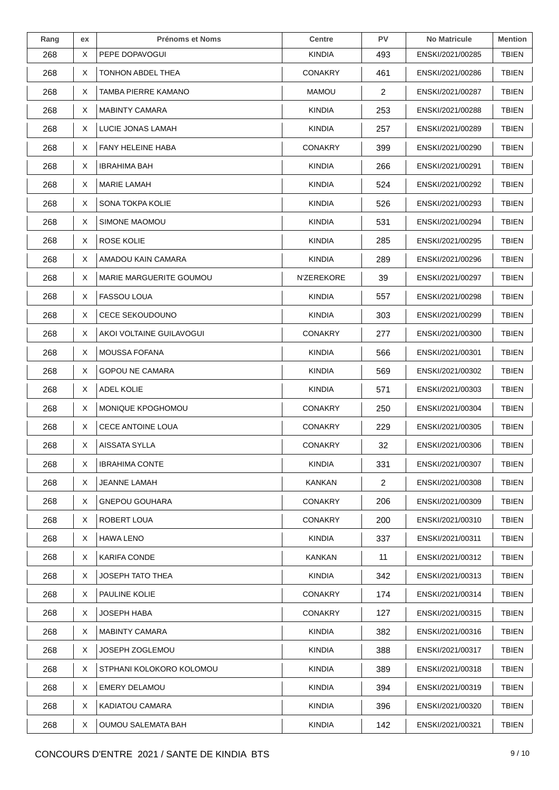| Rang | ex | <b>Prénoms et Noms</b>    | <b>Centre</b>     | PV             | <b>No Matricule</b> | <b>Mention</b> |
|------|----|---------------------------|-------------------|----------------|---------------------|----------------|
| 268  | X  | PEPE DOPAVOGUI            | KINDIA            | 493            | ENSKI/2021/00285    | <b>TBIEN</b>   |
| 268  | X  | TONHON ABDEL THEA         | <b>CONAKRY</b>    | 461            | ENSKI/2021/00286    | <b>TBIEN</b>   |
| 268  | Χ  | TAMBA PIERRE KAMANO       | <b>MAMOU</b>      | $\overline{2}$ | ENSKI/2021/00287    | TBIEN          |
| 268  | X  | <b>MABINTY CAMARA</b>     | <b>KINDIA</b>     | 253            | ENSKI/2021/00288    | <b>TBIEN</b>   |
| 268  | X  | LUCIE JONAS LAMAH         | <b>KINDIA</b>     | 257            | ENSKI/2021/00289    | <b>TBIEN</b>   |
| 268  | X  | FANY HELEINE HABA         | <b>CONAKRY</b>    | 399            | ENSKI/2021/00290    | <b>TBIEN</b>   |
| 268  | Χ  | <b>IBRAHIMA BAH</b>       | <b>KINDIA</b>     | 266            | ENSKI/2021/00291    | <b>TBIEN</b>   |
| 268  | X  | <b>MARIE LAMAH</b>        | <b>KINDIA</b>     | 524            | ENSKI/2021/00292    | <b>TBIEN</b>   |
| 268  | X  | SONA TOKPA KOLIE          | <b>KINDIA</b>     | 526            | ENSKI/2021/00293    | <b>TBIEN</b>   |
| 268  | Χ  | SIMONE MAOMOU             | <b>KINDIA</b>     | 531            | ENSKI/2021/00294    | <b>TBIEN</b>   |
| 268  | X  | ROSE KOLIE                | <b>KINDIA</b>     | 285            | ENSKI/2021/00295    | TBIEN          |
| 268  | X. | AMADOU KAIN CAMARA        | <b>KINDIA</b>     | 289            | ENSKI/2021/00296    | <b>TBIEN</b>   |
| 268  | Χ  | MARIE MARGUERITE GOUMOU   | <b>N'ZEREKORE</b> | 39             | ENSKI/2021/00297    | <b>TBIEN</b>   |
| 268  | X  | <b>FASSOU LOUA</b>        | KINDIA            | 557            | ENSKI/2021/00298    | <b>TBIEN</b>   |
| 268  | X  | <b>CECE SEKOUDOUNO</b>    | <b>KINDIA</b>     | 303            | ENSKI/2021/00299    | TBIEN          |
| 268  | Χ  | AKOI VOLTAINE GUILAVOGUI  | <b>CONAKRY</b>    | 277            | ENSKI/2021/00300    | <b>TBIEN</b>   |
| 268  | X  | MOUSSA FOFANA             | <b>KINDIA</b>     | 566            | ENSKI/2021/00301    | <b>TBIEN</b>   |
| 268  | X  | <b>GOPOU NE CAMARA</b>    | KINDIA            | 569            | ENSKI/2021/00302    | <b>TBIEN</b>   |
| 268  | X. | <b>ADEL KOLIE</b>         | <b>KINDIA</b>     | 571            | ENSKI/2021/00303    | <b>TBIEN</b>   |
| 268  | X  | MONIQUE KPOGHOMOU         | <b>CONAKRY</b>    | 250            | ENSKI/2021/00304    | TBIEN          |
| 268  | X. | <b>CECE ANTOINE LOUA</b>  | <b>CONAKRY</b>    | 229            | ENSKI/2021/00305    | TBIEN          |
| 268  | X. | AISSATA SYLLA             | <b>CONAKRY</b>    | 32             | ENSKI/2021/00306    | <b>TBIEN</b>   |
| 268  | X  | <b>IBRAHIMA CONTE</b>     | <b>KINDIA</b>     | 331            | ENSKI/2021/00307    | <b>TBIEN</b>   |
| 268  | X  | <b>JEANNE LAMAH</b>       | <b>KANKAN</b>     | 2              | ENSKI/2021/00308    | <b>TBIEN</b>   |
| 268  | X  | <b>GNEPOU GOUHARA</b>     | <b>CONAKRY</b>    | 206            | ENSKI/2021/00309    | TBIEN          |
| 268  | X  | ROBERT LOUA               | <b>CONAKRY</b>    | 200            | ENSKI/2021/00310    | <b>TBIEN</b>   |
| 268  | X. | <b>HAWA LENO</b>          | KINDIA            | 337            | ENSKI/2021/00311    | <b>TBIEN</b>   |
| 268  | X. | <b>KARIFA CONDE</b>       | KANKAN            | 11             | ENSKI/2021/00312    | <b>TBIEN</b>   |
| 268  | Χ  | JOSEPH TATO THEA          | <b>KINDIA</b>     | 342            | ENSKI/2021/00313    | <b>TBIEN</b>   |
| 268  | X  | PAULINE KOLIE             | <b>CONAKRY</b>    | 174            | ENSKI/2021/00314    | <b>TBIEN</b>   |
| 268  | X  | <b>JOSEPH HABA</b>        | <b>CONAKRY</b>    | 127            | ENSKI/2021/00315    | <b>TBIEN</b>   |
| 268  | X  | <b>MABINTY CAMARA</b>     | <b>KINDIA</b>     | 382            | ENSKI/2021/00316    | <b>TBIEN</b>   |
| 268  | X  | JOSEPH ZOGLEMOU           | <b>KINDIA</b>     | 388            | ENSKI/2021/00317    | <b>TBIEN</b>   |
| 268  | X. | STPHANI KOLOKORO KOLOMOU  | <b>KINDIA</b>     | 389            | ENSKI/2021/00318    | <b>TBIEN</b>   |
| 268  | X  | <b>EMERY DELAMOU</b>      | <b>KINDIA</b>     | 394            | ENSKI/2021/00319    | <b>TBIEN</b>   |
| 268  | X  | KADIATOU CAMARA           | <b>KINDIA</b>     | 396            | ENSKI/2021/00320    | <b>TBIEN</b>   |
| 268  | X  | <b>OUMOU SALEMATA BAH</b> | <b>KINDIA</b>     | 142            | ENSKI/2021/00321    | <b>TBIEN</b>   |